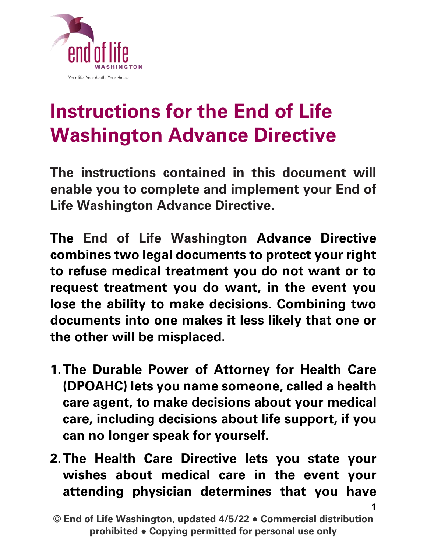

# **Instructions for the End of Life Washington Advance Directive**

The instructions contained in this document will enable you to complete and implement your End of Life Washington Advance Directive.

The End of Life Washington Advance Directive combines two legal documents to protect your right to refuse medical treatment you do not want or to request treatment you do want, in the event you lose the ability to make decisions. Combining two documents into one makes it less likely that one or the other will be misplaced.

- **1.**The Durable Power of Attorney for Health Care (DPOAHC) lets you name someone, called a health care agent, to make decisions about your medical care, including decisions about life support, if you can no longer speak for yourself.
- **2.**The Health Care Directive lets you state your wishes about medical care in the event your attending physician determines that you have

<sup>©</sup> End of Life Washington, updated 4/5/22 ● Commercial distribution prohibited ● Copying permitted for personal use only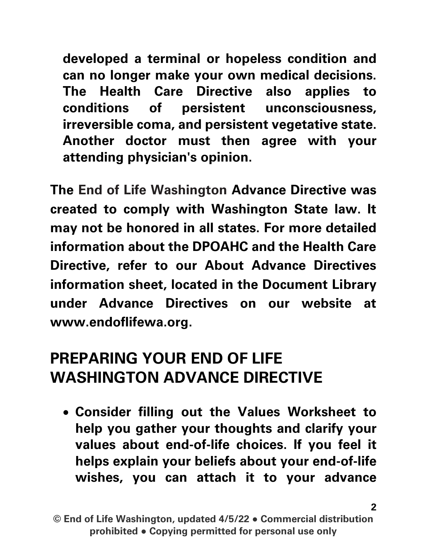developed a terminal or hopeless condition and can no longer make your own medical decisions. The Health Care Directive also applies to conditions of persistent unconsciousness, irreversible coma, and persistent vegetative state. Another doctor must then agree with your attending physician's opinion.

The End of Life Washington Advance Directive was created to comply with Washington State law. It may not be honored in all states. For more detailed information about the DPOAHC and the Health Care Directive, refer to our About Advance Directives information sheet, located in the Document Library under Advance Directives on our website at [www.endoflifewa.org.](http://www.endoflifewa.org/)

#### **PREPARING YOUR END OF LIFE WASHINGTON ADVANCE DIRECTIVE**

• Consider filling out the Values Worksheet to help you gather your thoughts and clarify your values about end-of-life choices. If you feel it helps explain your beliefs about your end-of-life wishes, you can attach it to your advance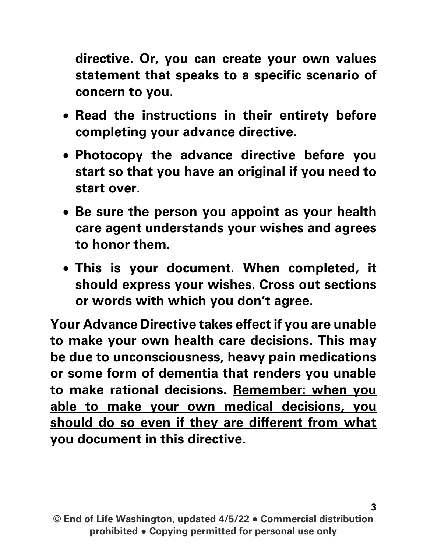directive. Or, you can create your own values statement that speaks to a specific scenario of concern to you.

- Read the instructions in their entirety before completing your advance directive.
- Photocopy the advance directive before you start so that you have an original if you need to start over.
- Be sure the person you appoint as your health care agent understands your wishes and agrees to honor them.
- This is your document. When completed, it should express your wishes. Cross out sections or words with which you don't agree.

Your Advance Directive takes effect if you are unable to make your own health care decisions. This may be due to unconsciousness, heavy pain medications or some form of dementia that renders you unable to make rational decisions. Remember: when you able to make your own medical decisions, you should do so even if they are different from what you document in this directive.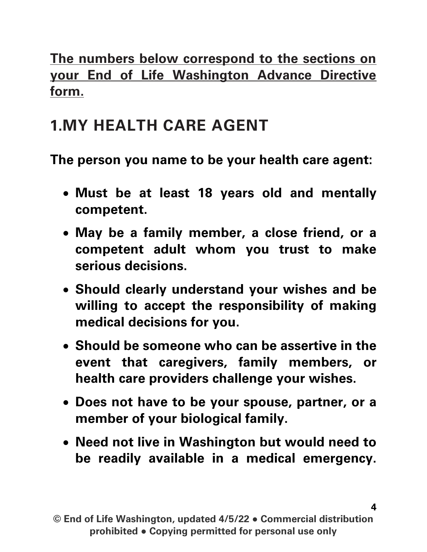The numbers below correspond to the sections on your End of Life Washington Advance Directive form.

### **1.MY HEALTH CARE AGENT**

The person you name to be your health care agent:

- Must be at least 18 years old and mentally competent.
- May be a family member, a close friend, or a competent adult whom you trust to make serious decisions.
- Should clearly understand your wishes and be willing to accept the responsibility of making medical decisions for you.
- Should be someone who can be assertive in the event that caregivers, family members, or health care providers challenge your wishes.
- Does not have to be your spouse, partner, or a member of your biological family.
- Need not live in Washington but would need to be readily available in a medical emergency.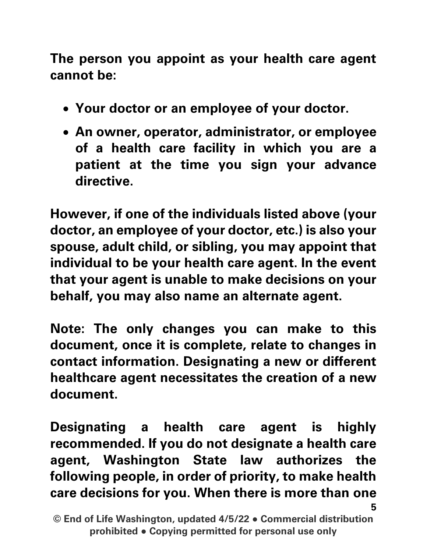The person you appoint as your health care agent cannot be:

- Your doctor or an employee of your doctor.
- An owner, operator, administrator, or employee of a health care facility in which you are a patient at the time you sign your advance directive.

However, if one of the individuals listed above (your doctor, an employee of your doctor, etc.) is also your spouse, adult child, or sibling, you may appoint that individual to be your health care agent. In the event that your agent is unable to make decisions on your behalf, you may also name an alternate agent.

Note: The only changes you can make to this document, once it is complete, relate to changes in contact information. Designating a new or different healthcare agent necessitates the creation of a new document.

5 Designating a health care agent is highly recommended. If you do not designate a health care agent, Washington State law authorizes the following people, in order of priority, to make health care decisions for you. When there is more than one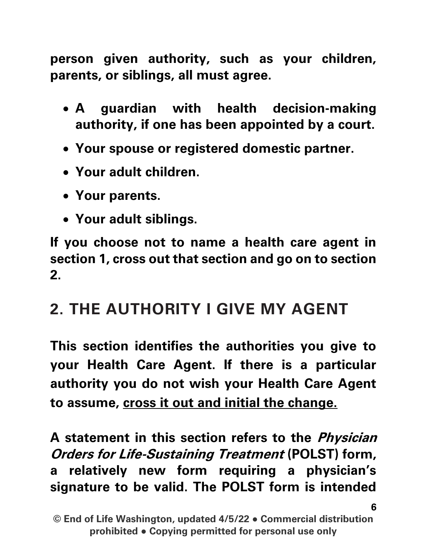person given authority, such as your children, parents, or siblings, all must agree.

- A guardian with health decision-making authority, if one has been appointed by a court.
- Your spouse or registered domestic partner.
- Your adult children.
- Your parents.
- Your adult siblings.

If you choose not to name a health care agent in section 1, cross out that section and go on to section 2.

#### **2. THE AUTHORITY I GIVE MY AGENT**

This section identifies the authorities you give to your Health Care Agent. If there is a particular authority you do not wish your Health Care Agent to assume, cross it out and initial the change.

A statement in this section refers to the *Physician* Orders for Life-Sustaining Treatment (POLST) form, a relatively new form requiring a physician's signature to be valid. The POLST form is intended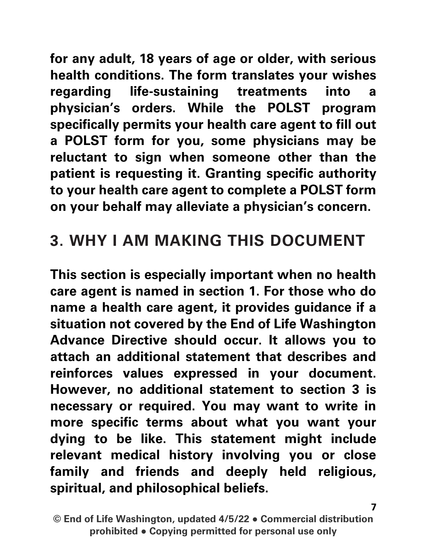for any adult, 18 years of age or older, with serious health conditions. The form translates your wishes regarding life-sustaining treatments into a physician's orders. While the POLST program specifically permits your health care agent to fill out a POLST form for you, some physicians may be reluctant to sign when someone other than the patient is requesting it. Granting specific authority to your health care agent to complete a POLST form on your behalf may alleviate a physician's concern.

#### **3. WHY I AM MAKING THIS DOCUMENT**

This section is especially important when no health care agent is named in section 1. For those who do name a health care agent, it provides guidance if a situation not covered by the End of Life Washington Advance Directive should occur. It allows you to attach an additional statement that describes and reinforces values expressed in your document. However, no additional statement to section 3 is necessary or required. You may want to write in more specific terms about what you want your dying to be like. This statement might include relevant medical history involving you or close family and friends and deeply held religious, spiritual, and philosophical beliefs.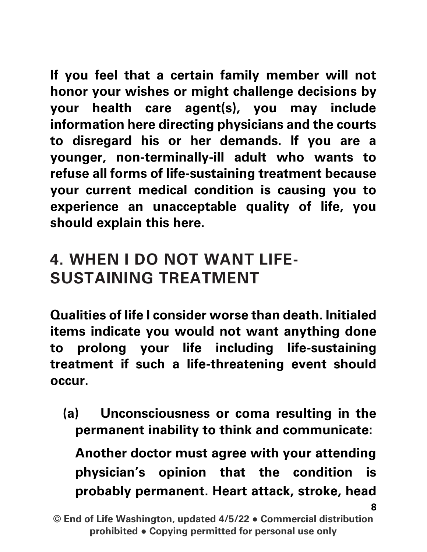If you feel that a certain family member will not honor your wishes or might challenge decisions by your health care agent(s), you may include information here directing physicians and the courts to disregard his or her demands. If you are a younger, non-terminally-ill adult who wants to refuse all forms of life-sustaining treatment because your current medical condition is causing you to experience an unacceptable quality of life, you should explain this here.

## **4. WHEN I DO NOT WANT LIFE-SUSTAINING TREATMENT**

Qualities of life I consider worse than death. Initialed items indicate you would not want anything done to prolong your life including life-sustaining treatment if such a life-threatening event should occur.

(a) Unconsciousness or coma resulting in the permanent inability to think and communicate:

8 Another doctor must agree with your attending physician's opinion that the condition is probably permanent. Heart attack, stroke, head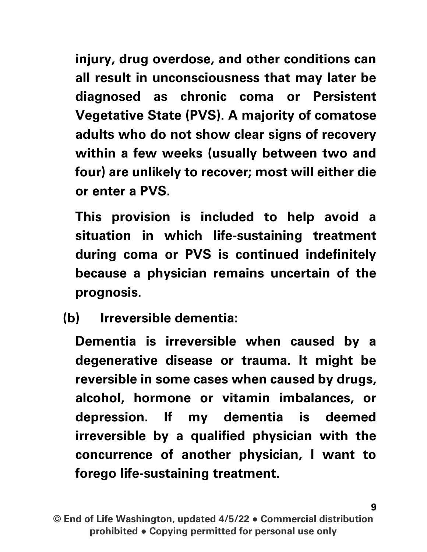injury, drug overdose, and other conditions can all result in unconsciousness that may later be diagnosed as chronic coma or Persistent Vegetative State (PVS). A majority of comatose adults who do not show clear signs of recovery within a few weeks (usually between two and four) are unlikely to recover; most will either die or enter a PVS.

This provision is included to help avoid a situation in which life-sustaining treatment during coma or PVS is continued indefinitely because a physician remains uncertain of the prognosis.

(b) Irreversible dementia:

Dementia is irreversible when caused by a degenerative disease or trauma. It might be reversible in some cases when caused by drugs, alcohol, hormone or vitamin imbalances, or depression. If my dementia is deemed irreversible by a qualified physician with the concurrence of another physician, I want to forego life-sustaining treatment.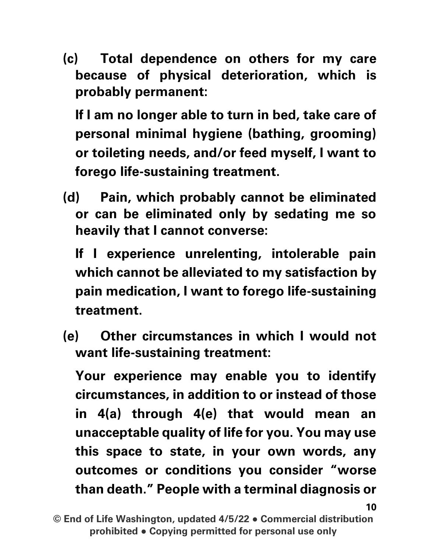(c) Total dependence on others for my care because of physical deterioration, which is probably permanent:

If I am no longer able to turn in bed, take care of personal minimal hygiene (bathing, grooming) or toileting needs, and/or feed myself, I want to forego life-sustaining treatment.

(d) Pain, which probably cannot be eliminated or can be eliminated only by sedating me so heavily that I cannot converse:

If I experience unrelenting, intolerable pain which cannot be alleviated to my satisfaction by pain medication, I want to forego life-sustaining treatment.

(e) Other circumstances in which I would not want life-sustaining treatment:

Your experience may enable you to identify circumstances, in addition to or instead of those in 4(a) through 4(e) that would mean an unacceptable quality of life for you. You may use this space to state, in your own words, any outcomes or conditions you consider "worse than death." People with a terminal diagnosis or

10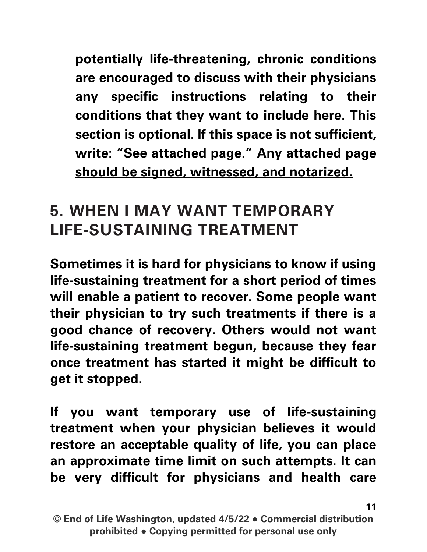potentially life-threatening, chronic conditions are encouraged to discuss with their physicians any specific instructions relating to their conditions that they want to include here. This section is optional. If this space is not sufficient, write: "See attached page." Any attached page should be signed, witnessed, and notarized.

#### **5. WHEN I MAY WANT TEMPORARY LIFE-SUSTAINING TREATMENT**

Sometimes it is hard for physicians to know if using life-sustaining treatment for a short period of times will enable a patient to recover. Some people want their physician to try such treatments if there is a good chance of recovery. Others would not want life-sustaining treatment begun, because they fear once treatment has started it might be difficult to get it stopped.

If you want temporary use of life-sustaining treatment when your physician believes it would restore an acceptable quality of life, you can place an approximate time limit on such attempts. It can be very difficult for physicians and health care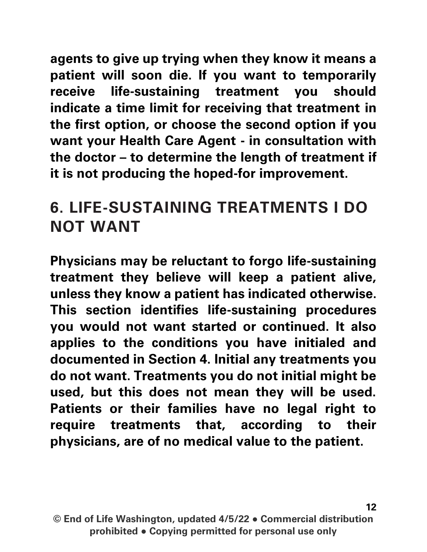agents to give up trying when they know it means a patient will soon die. If you want to temporarily receive life-sustaining treatment you should indicate a time limit for receiving that treatment in the first option, or choose the second option if you want your Health Care Agent - in consultation with the doctor – to determine the length of treatment if it is not producing the hoped-for improvement.

#### **6. LIFE-SUSTAINING TREATMENTS I DO NOT WANT**

Physicians may be reluctant to forgo life-sustaining treatment they believe will keep a patient alive, unless they know a patient has indicated otherwise. This section identifies life-sustaining procedures you would not want started or continued. It also applies to the conditions you have initialed and documented in Section 4. Initial any treatments you do not want. Treatments you do not initial might be used, but this does not mean they will be used. Patients or their families have no legal right to require treatments that, according to their physicians, are of no medical value to the patient.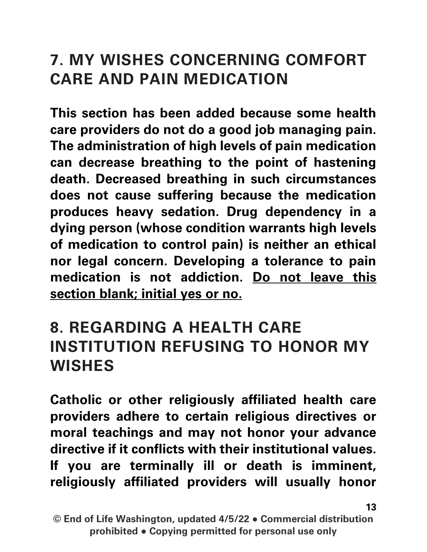#### **7. MY WISHES CONCERNING COMFORT CARE AND PAIN MEDICATION**

This section has been added because some health care providers do not do a good job managing pain. The administration of high levels of pain medication can decrease breathing to the point of hastening death. Decreased breathing in such circumstances does not cause suffering because the medication produces heavy sedation. Drug dependency in a dying person (whose condition warrants high levels of medication to control pain) is neither an ethical nor legal concern. Developing a tolerance to pain medication is not addiction. Do not leave this section blank; initial yes or no.

#### **8. REGARDING A HEALTH CARE INSTITUTION REFUSING TO HONOR MY WISHES**

Catholic or other religiously affiliated health care providers adhere to certain religious directives or moral teachings and may not honor your advance directive if it conflicts with their institutional values. If you are terminally ill or death is imminent, religiously affiliated providers will usually honor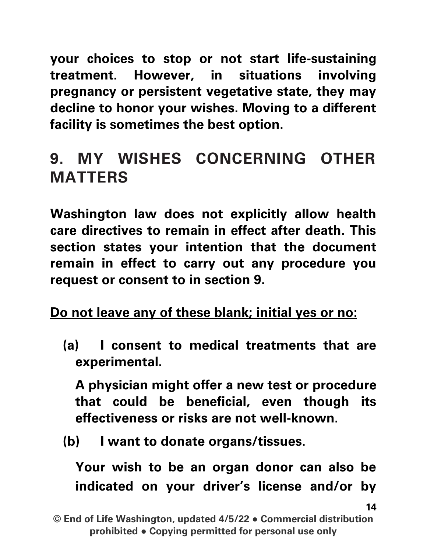your choices to stop or not start life-sustaining treatment. However, in situations involving pregnancy or persistent vegetative state, they may decline to honor your wishes. Moving to a different facility is sometimes the best option.

## **9. MY WISHES CONCERNING OTHER MATTERS**

Washington law does not explicitly allow health care directives to remain in effect after death. This section states your intention that the document remain in effect to carry out any procedure you request or consent to in section 9.

Do not leave any of these blank; initial yes or no:

(a) I consent to medical treatments that are experimental.

A physician might offer a new test or procedure that could be beneficial, even though its effectiveness or risks are not well-known.

(b) I want to donate organs/tissues.

Your wish to be an organ donor can also be indicated on your driver's license and/or by

<sup>©</sup> End of Life Washington, updated 4/5/22 ● Commercial distribution prohibited ● Copying permitted for personal use only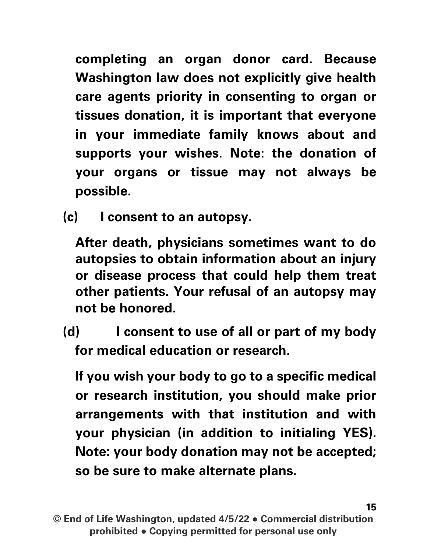completing an organ donor card. Because Washington law does not explicitly give health care agents priority in consenting to organ or tissues donation, it is important that everyone in your immediate family knows about and supports your wishes. Note: the donation of your organs or tissue may not always be possible.

(c) I consent to an autopsy.

After death, physicians sometimes want to do autopsies to obtain information about an injury or disease process that could help them treat other patients. Your refusal of an autopsy may not be honored.

(d) I consent to use of all or part of my body for medical education or research.

If you wish your body to go to a specific medical or research institution, you should make prior arrangements with that institution and with your physician (in addition to initialing YES). Note: your body donation may not be accepted; so be sure to make alternate plans.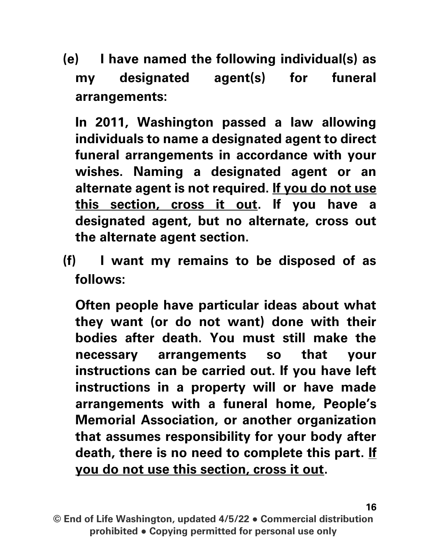(e) I have named the following individual(s) as my designated agent(s) for funeral arrangements:

In 2011, Washington passed a law allowing individuals to name a designated agent to direct funeral arrangements in accordance with your wishes. Naming a designated agent or an alternate agent is not required. If you do not use this section, cross it out. If you have a designated agent, but no alternate, cross out the alternate agent section.

(f) I want my remains to be disposed of as follows:

Often people have particular ideas about what they want (or do not want) done with their bodies after death. You must still make the necessary arrangements so that your instructions can be carried out. If you have left instructions in a property will or have made arrangements with a funeral home, People's Memorial Association, or another organization that assumes responsibility for your body after death, there is no need to complete this part. If you do not use this section, cross it out.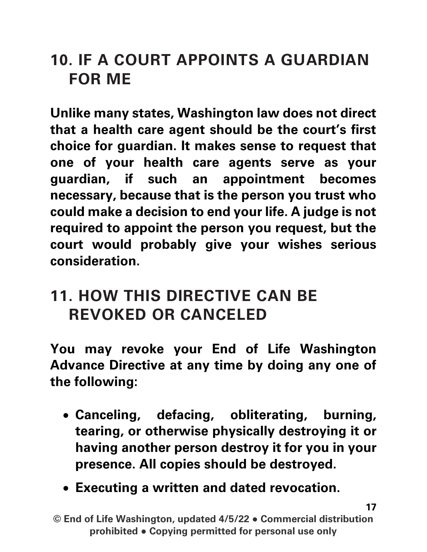#### **10. IF A COURT APPOINTS A GUARDIAN FOR ME**

Unlike many states, Washington law does not direct that a health care agent should be the court's first choice for guardian. It makes sense to request that one of your health care agents serve as your guardian, if such an appointment becomes necessary, because that is the person you trust who could make a decision to end your life. A judge is not required to appoint the person you request, but the court would probably give your wishes serious consideration.

#### **11. HOW THIS DIRECTIVE CAN BE REVOKED OR CANCELED**

You may revoke your End of Life Washington Advance Directive at any time by doing any one of the following:

- Canceling, defacing, obliterating, burning, tearing, or otherwise physically destroying it or having another person destroy it for you in your presence. All copies should be destroyed.
- Executing a written and dated revocation.

© End of Life Washington, updated 4/5/22 ● Commercial distribution prohibited ● Copying permitted for personal use only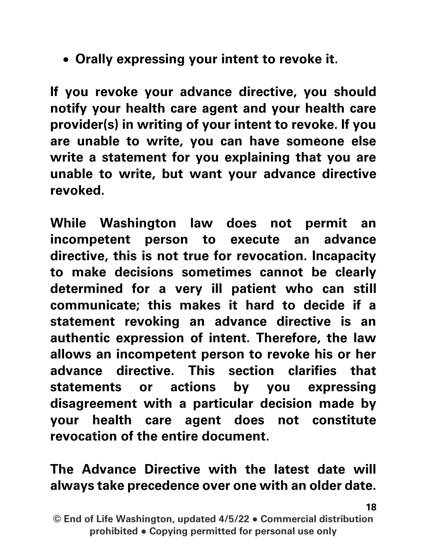• Orally expressing your intent to revoke it.

If you revoke your advance directive, you should notify your health care agent and your health care provider(s) in writing of your intent to revoke. If you are unable to write, you can have someone else write a statement for you explaining that you are unable to write, but want your advance directive revoked.

While Washington law does not permit an incompetent person to execute an advance directive, this is not true for revocation. Incapacity to make decisions sometimes cannot be clearly determined for a very ill patient who can still communicate; this makes it hard to decide if a statement revoking an advance directive is an authentic expression of intent. Therefore, the law allows an incompetent person to revoke his or her advance directive. This section clarifies that statements or actions by you expressing disagreement with a particular decision made by your health care agent does not constitute revocation of the entire document.

#### The Advance Directive with the latest date will always take precedence over one with an older date.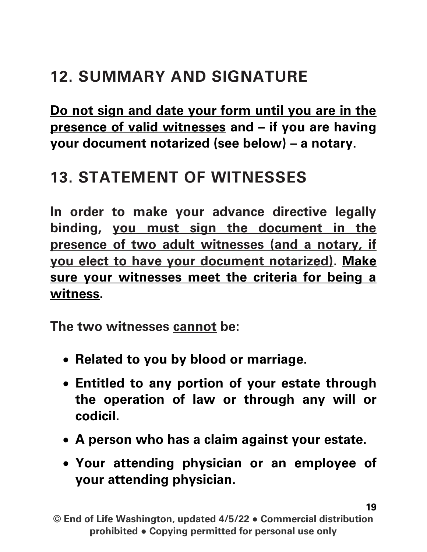## **12. SUMMARY AND SIGNATURE**

Do not sign and date your form until you are in the presence of valid witnesses and – if you are having your document notarized (see below) – a notary.

#### **13. STATEMENT OF WITNESSES**

In order to make your advance directive legally binding, you must sign the document in the presence of two adult witnesses (and a notary, if you elect to have your document notarized). Make sure your witnesses meet the criteria for being a witness.

The two witnesses cannot be:

- Related to you by blood or marriage.
- Entitled to any portion of your estate through the operation of law or through any will or codicil.
- A person who has a claim against your estate.
- Your attending physician or an employee of your attending physician.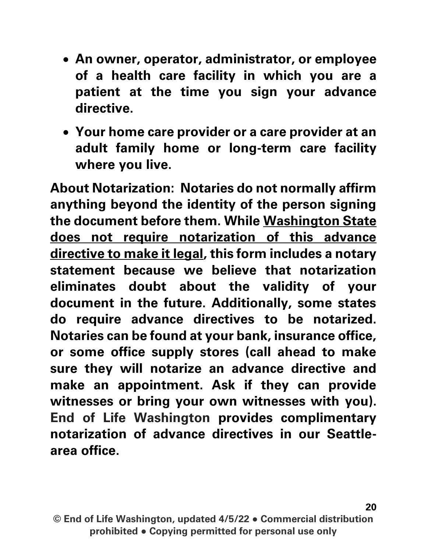- An owner, operator, administrator, or employee of a health care facility in which you are a patient at the time you sign your advance directive.
- Your home care provider or a care provider at an adult family home or long-term care facility where you live.

**About Notarization:** Notaries do not normally affirm anything beyond the identity of the person signing the document before them. While Washington State does not require notarization of this advance directive to make it legal, this form includes a notary statement because we believe that notarization eliminates doubt about the validity of your document in the future. Additionally, some states do require advance directives to be notarized. Notaries can be found at your bank, insurance office, or some office supply stores (call ahead to make sure they will notarize an advance directive and make an appointment. Ask if they can provide witnesses or bring your own witnesses with you). End of Life Washington provides complimentary notarization of advance directives in our Seattlearea office.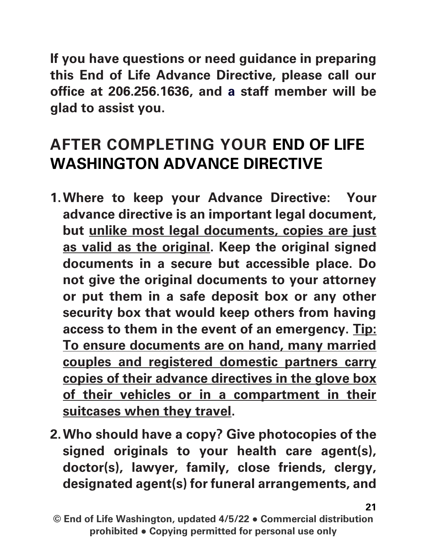If you have questions or need guidance in preparing this End of Life Advance Directive, please call our office at 206.256.1636, and a staff member will be glad to assist you.

### **AFTER COMPLETING YOUR END OF LIFE WASHINGTON ADVANCE DIRECTIVE**

- 1.**Where to keep your Advance Directive**: Your advance directive is an important legal document, but unlike most legal documents, copies are just as valid as the original. Keep the original signed documents in a secure but accessible place. Do not give the original documents to your attorney or put them in a safe deposit box or any other security box that would keep others from having access to them in the event of an emergency. Tip: To ensure documents are on hand, many married couples and registered domestic partners carry copies of their advance directives in the glove box of their vehicles or in a compartment in their suitcases when they travel.
- 2.**Who should have a copy?** Give photocopies of the signed originals to your health care agent(s), doctor(s), lawyer, family, close friends, clergy, designated agent(s) for funeral arrangements, and

<sup>©</sup> End of Life Washington, updated 4/5/22 ● Commercial distribution prohibited ● Copying permitted for personal use only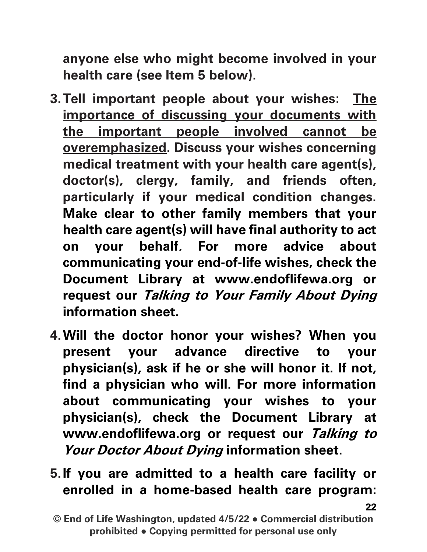anyone else who might become involved in your health care (see Item 5 below).

- 3.**Tell important people about your wishes**: The importance of discussing your documents with the important people involved cannot be overemphasized. Discuss your wishes concerning medical treatment with your health care agent(s), doctor(s), clergy, family, and friends often, particularly if your medical condition changes. Make clear to other family members that your health care agent(s) will have final authority to act on your behalf. For more advice about communicating your end-of-life wishes, check the Document Library at www.endoflifewa.org or request our Talking to Your Family About Dying information sheet.
- 4.**Will the doctor honor your wishes?** When you present your advance directive to your physician(s), ask if he or she will honor it. If not, find a physician who will. For more information about communicating your wishes to your physician(s), check the Document Library at www.endoflifewa.org or request our Talking to Your Doctor About Dying information sheet.
- 5.**If you are admitted to a health care facility or enrolled in a home-based health care program**:

<sup>©</sup> End of Life Washington, updated 4/5/22 ● Commercial distribution prohibited ● Copying permitted for personal use only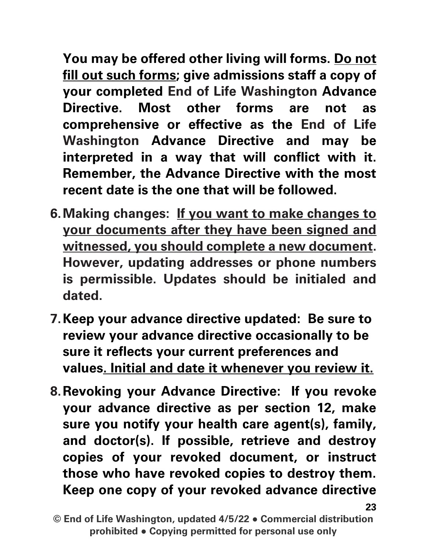You may be offered other living will forms. Do not fill out such forms; give admissions staff a copy of your completed End of Life Washington Advance Directive. Most other forms are not as comprehensive or effective as the End of Life Washington Advance Directive and may be interpreted in a way that will conflict with it. Remember, the Advance Directive with the most recent date is the one that will be followed.

- 6.**Making changes**: If you want to make changes to your documents after they have been signed and witnessed, you should complete a new document. However, updating addresses or phone numbers is permissible. Updates should be initialed and dated.
- 7.**Keep your advance directive updated**: Be sure to review your advance directive occasionally to be sure it reflects your current preferences and values. Initial and date it whenever you review it.
- 8.**Revoking your Advance Directive**: If you revoke your advance directive as per section 12, make sure you notify your health care agent(s), family, and doctor(s). If possible, retrieve and destroy copies of your revoked document, or instruct those who have revoked copies to destroy them. Keep one copy of your revoked advance directive

© End of Life Washington, updated 4/5/22 ● Commercial distribution prohibited ● Copying permitted for personal use only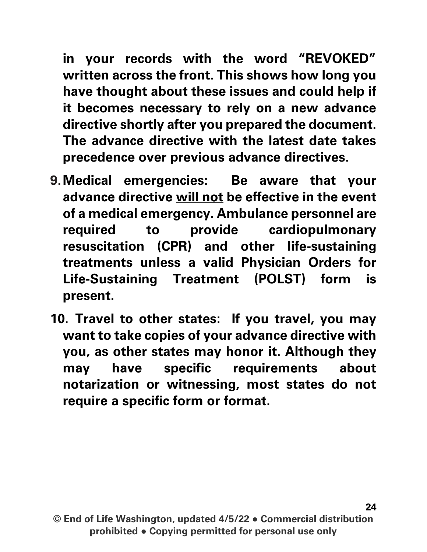in your records with the word "REVOKED" written across the front. This shows how long you have thought about these issues and could help if it becomes necessary to rely on a new advance directive shortly after you prepared the document. The advance directive with the latest date takes precedence over previous advance directives.

- 9.**Medical emergencies**: Be aware that your advance directive will not be effective in the event of a medical emergency. Ambulance personnel are required to provide cardiopulmonary resuscitation (CPR) and other life-sustaining treatments unless a valid Physician Orders for Life-Sustaining Treatment (POLST) form is present.
- 10. **Travel to other states: If you travel, you may want to take copies of your advance directive with you, as other states may honor** it. Although they may have specific requirements about notarization or witnessing, most states do not require a specific form or format.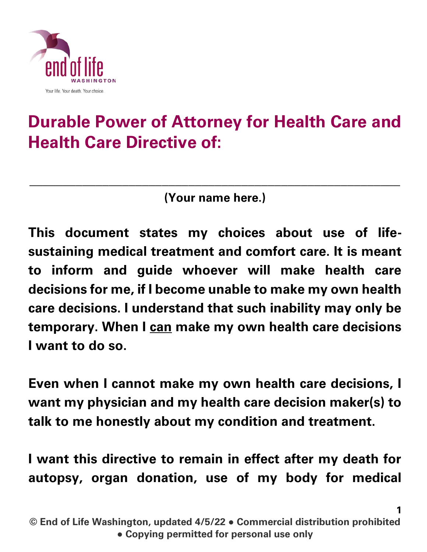

# **Durable Power of Attorney for Health Care and Health Care Directive of:**

(Your name here.)

\_\_\_\_\_\_\_\_\_\_\_\_\_\_\_\_\_\_\_\_\_\_\_\_\_\_\_\_\_\_\_\_\_\_\_\_\_\_\_\_\_\_\_\_\_\_\_\_\_\_\_\_\_\_\_\_

This document states my choices about use of lifesustaining medical treatment and comfort care. It is meant to inform and guide whoever will make health care decisions for me, if I become unable to make my own health care decisions. I understand that such inability may only be temporary. When I can make my own health care decisions I want to do so.

Even when I cannot make my own health care decisions, I want my physician and my health care decision maker(s) to talk to me honestly about my condition and treatment.

I want this directive to remain in effect after my death for autopsy, organ donation, use of my body for medical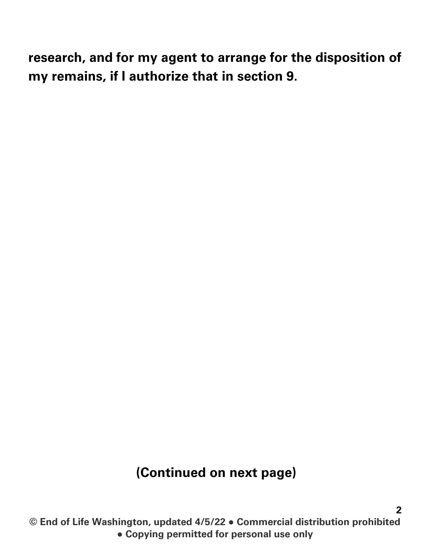research, and for my agent to arrange for the disposition of my remains, if I authorize that in section 9.

#### (Continued on next page)

© End of Life Washington, updated 4/5/22 ● Commercial distribution prohibited ● Copying permitted for personal use only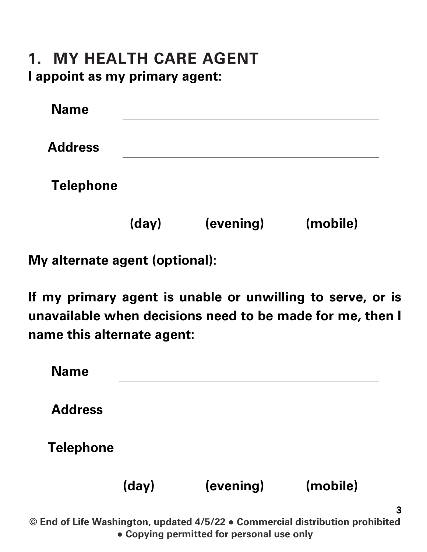#### **1. MY HEALTH CARE AGENT** I appoint as my primary agent:

| <b>Name</b>      |       |           |          |
|------------------|-------|-----------|----------|
| <b>Address</b>   |       |           |          |
| <b>Telephone</b> |       |           |          |
|                  | (day) | (evening) | (mobile) |

My alternate agent (optional):

If my primary agent is unable or unwilling to serve, or is unavailable when decisions need to be made for me, then I name this alternate agent:

| <b>Name</b>      |       |           |          |
|------------------|-------|-----------|----------|
| <b>Address</b>   |       |           |          |
| <b>Telephone</b> |       |           |          |
|                  | (day) | (evening) | (mobile) |

© End of Life Washington, updated 4/5/22 ● Commercial distribution prohibited ● Copying permitted for personal use only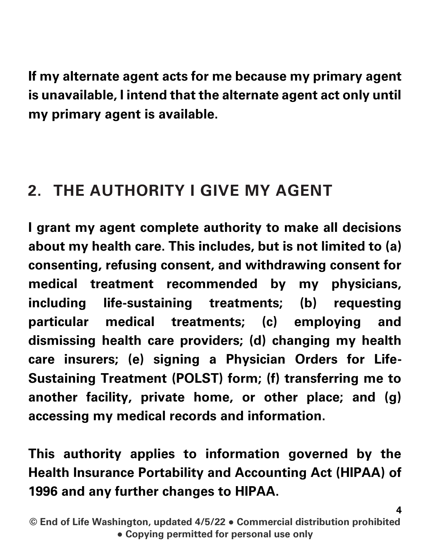If my alternate agent acts for me because my primary agent is unavailable, I intend that the alternate agent act only until my primary agent is available.

### **2. THE AUTHORITY I GIVE MY AGENT**

I grant my agent complete authority to make all decisions about my health care. This includes, but is not limited to (a) consenting, refusing consent, and withdrawing consent for medical treatment recommended by my physicians, including life-sustaining treatments; (b) requesting particular medical treatments; (c) employing and dismissing health care providers; (d) changing my health care insurers; (e) signing a Physician Orders for Life-Sustaining Treatment (POLST) form; (f) transferring me to another facility, private home, or other place; and (g) accessing my medical records and information.

This authority applies to information governed by the Health Insurance Portability and Accounting Act (HIPAA) of 1996 and any further changes to HIPAA.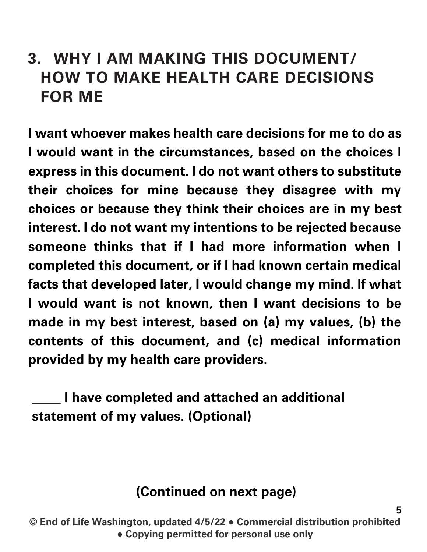#### **3. WHY I AM MAKING THIS DOCUMENT/ HOW TO MAKE HEALTH CARE DECISIONS FOR ME**

I want whoever makes health care decisions for me to do as I would want in the circumstances, based on the choices I express in this document. I do not want others to substitute their choices for mine because they disagree with my choices or because they think their choices are in my best interest. I do not want my intentions to be rejected because someone thinks that if I had more information when I completed this document, or if I had known certain medical facts that developed later, I would change my mind. If what I would want is not known, then I want decisions to be made in my best interest, based on (a) my values, (b) the contents of this document, and (c) medical information provided by my health care providers.

I have completed and attached an additional statement of my values. (Optional)

#### (Continued on next page)

5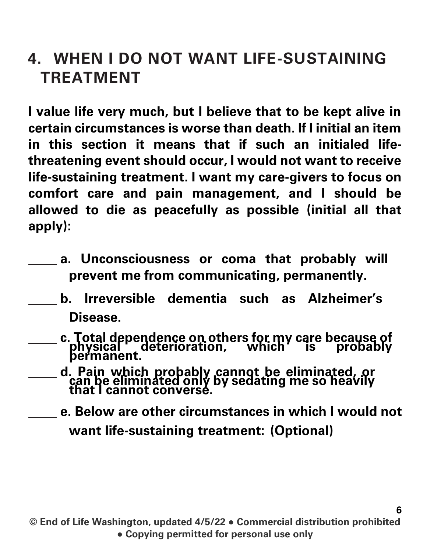#### **4. WHEN I DO NOT WANT LIFE-SUSTAINING TREATMENT**

I value life very much, but I believe that to be kept alive in certain circumstances is worse than death. If I initial an item in this section it means that if such an initialed lifethreatening event should occur, I would not want to receive life-sustaining treatment. I want my care-givers to focus on comfort care and pain management, and I should be allowed to die as peacefully as possible (initial all that apply):

- a. Unconsciousness or coma that probably will prevent me from communicating, permanently.
- b. Irreversible dementia such as Alzheimer's Disease.
	- c. Total dependence on others for my care because of<br>physical deterioration, which is probably permanent.
		- d. Pain which probably cannot be eliminated, or can be eliminated only by sedating me so heavily that <sup>I</sup> cannot converse.

e. Below are other circumstances in which I would not want life-sustaining treatment: (Optional)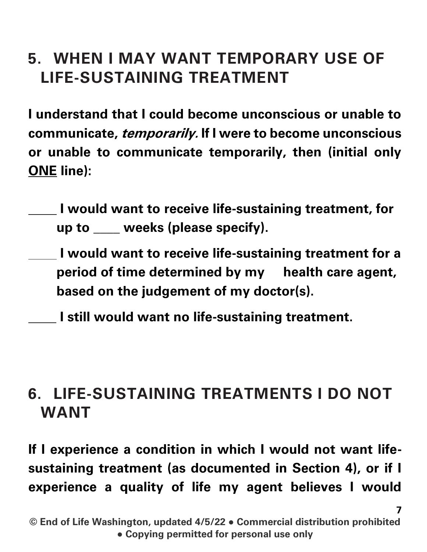### **5. WHEN I MAY WANT TEMPORARY USE OF LIFE-SUSTAINING TREATMENT**

I understand that I could become unconscious or unable to communicate, temporarily. If I were to become unconscious or unable to communicate temporarily, then (initial only **ONE** line):

- I would want to receive life-sustaining treatment, for up to \_\_\_\_ weeks (please specify).
- I would want to receive life-sustaining treatment for a period of time determined by my health care agent, based on the judgement of my doctor(s).
- I still would want no life-sustaining treatment.

#### **6. LIFE-SUSTAINING TREATMENTS I DO NOT WANT**

If I experience a condition in which I would not want lifesustaining treatment (as documented in Section 4), or if I experience a quality of life my agent believes I would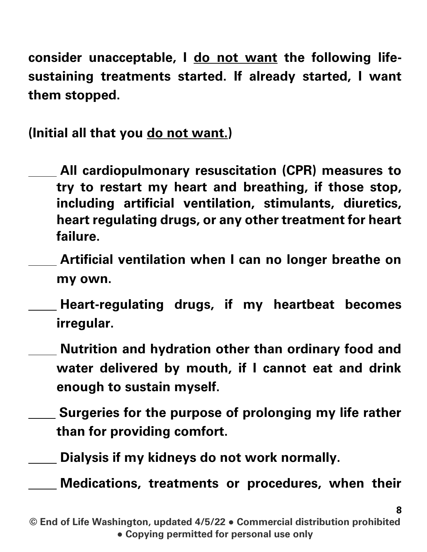consider unacceptable, I **do not want** the following lifesustaining treatments started. If already started, I want them stopped.

(Initial all that you **do not want.**)

- **All** cardiopulmonary resuscitation (CPR) measures to try to restart my heart and breathing, if those stop, including artificial ventilation, stimulants, diuretics, heart regulating drugs, or any other treatment for heart failure.
	- Artificial ventilation when I can no longer breathe on my own.
- Heart-regulating drugs, if my heartbeat becomes irregular.
- Nutrition and hydration other than ordinary food and water delivered by mouth, if I cannot eat and drink enough to sustain myself.
	- Surgeries for the purpose of prolonging my life rather than for providing comfort.
- Dialysis if my kidneys do not work normally.

Medications, treatments or procedures, when their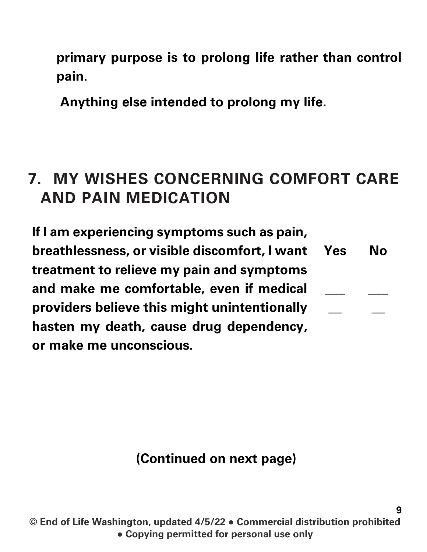primary purpose is to prolong life rather than control pain.

Anything else intended to prolong my life.

#### **7. MY WISHES CONCERNING COMFORT CARE AND PAIN MEDICATION**

If I am experiencing symptoms such as pain, breathlessness, or visible discomfort, I want treatment to relieve my pain and symptoms and make me comfortable, even if medical providers believe this might unintentionally hasten my death, cause drug dependency, or make me unconscious. Yes  $\overline{\phantom{a}}$  $\overline{\phantom{a}}$ No  $\overline{\phantom{a}}$  $\overline{\phantom{a}}$ 

#### (Continued on next page)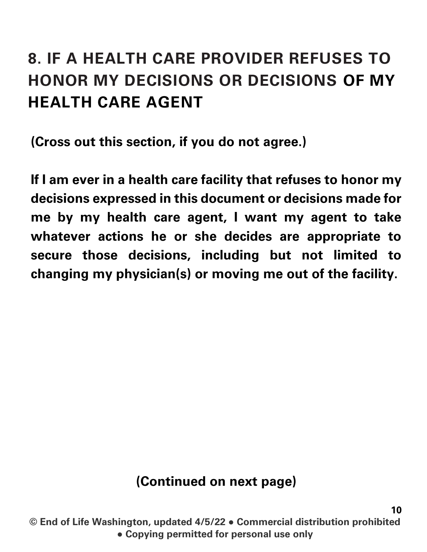# **8. IF A HEALTH CARE PROVIDER REFUSES TO HONOR MY DECISIONS OR DECISIONS OF MY HEALTH CARE AGENT**

(Cross out this section, if you do not agree.)

If I am ever in a health care facility that refuses to honor my decisions expressed in this document or decisions made for me by my health care agent, I want my agent to take whatever actions he or she decides are appropriate to secure those decisions, including but not limited to changing my physician(s) or moving me out of the facility.

#### (Continued on next page)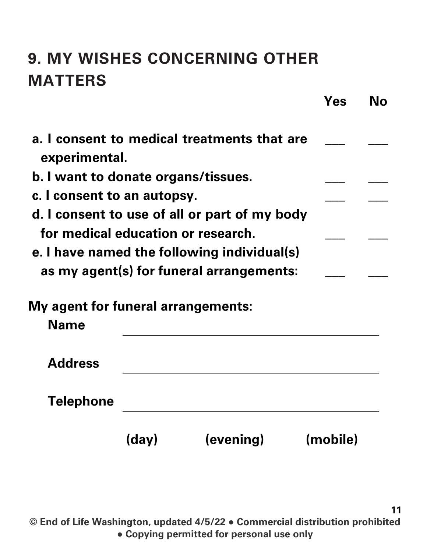# **9. MY WISHES CONCERNING OTHER MATTERS**

|                                                   |       |                                               | Yes      | Nο |
|---------------------------------------------------|-------|-----------------------------------------------|----------|----|
| experimental.                                     |       | a. I consent to medical treatments that are   |          |    |
| b. I want to donate organs/tissues.               |       |                                               |          |    |
| c. I consent to an autopsy.                       |       |                                               |          |    |
|                                                   |       | d. I consent to use of all or part of my body |          |    |
| for medical education or research.                |       |                                               |          |    |
|                                                   |       | e. I have named the following individual(s)   |          |    |
|                                                   |       | as my agent(s) for funeral arrangements:      |          |    |
| My agent for funeral arrangements:<br><b>Name</b> |       |                                               |          |    |
| <b>Address</b>                                    |       |                                               |          |    |
| Telephone                                         |       |                                               |          |    |
|                                                   | (day) | (evening)                                     | (mobile) |    |

© End of Life Washington, updated 4/5/22 ● Commercial distribution prohibited ● Copying permitted for personal use only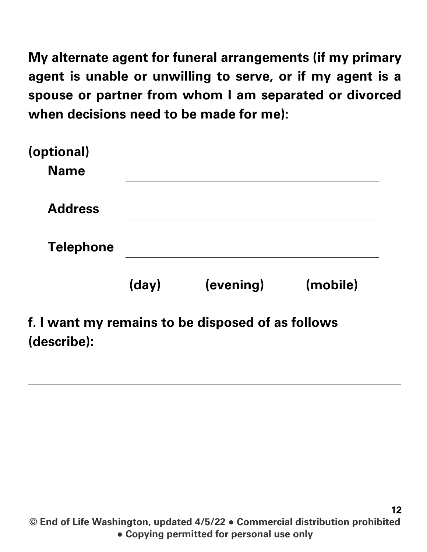My alternate agent for funeral arrangements (if my primary agent is unable or unwilling to serve, or if my agent is a spouse or partner from whom I am separated or divorced when decisions need to be made for me):

|                           | (day) | (evening) | (mobile) |
|---------------------------|-------|-----------|----------|
| <b>Telephone</b>          |       |           |          |
| <b>Address</b>            |       |           |          |
| (optional)<br><b>Name</b> |       |           |          |

#### (describe):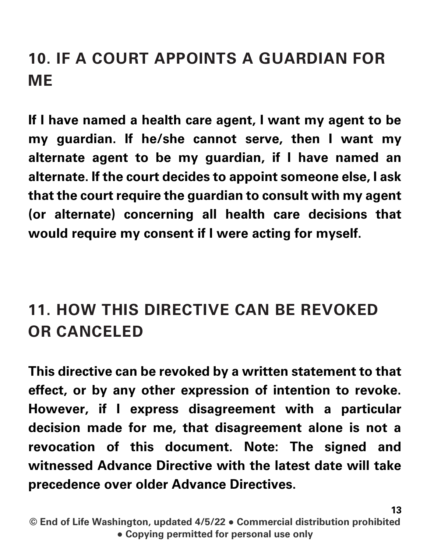# **10. IF A COURT APPOINTS A GUARDIAN FOR ME**

If I have named a health care agent, I want my agent to be my guardian. If he/she cannot serve, then I want my alternate agent to be my guardian, if I have named an alternate. If the court decides to appoint someone else, I ask that the court require the guardian to consult with my agent (or alternate) concerning all health care decisions that would require my consent if I were acting for myself.

# **11. HOW THIS DIRECTIVE CAN BE REVOKED OR CANCELED**

This directive can be revoked by a written statement to that effect, or by any other expression of intention to revoke. However, if I express disagreement with a particular decision made for me, that disagreement alone is not a revocation of this document. Note: The signed and witnessed Advance Directive with the latest date will take precedence over older Advance Directives.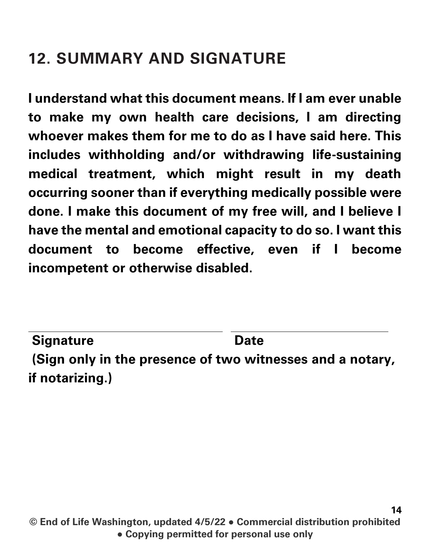### **12. SUMMARY AND SIGNATURE**

I understand what this document means. If I am ever unable to make my own health care decisions, I am directing whoever makes them for me to do as I have said here. This includes withholding and/or withdrawing life-sustaining medical treatment, which might result in my death occurring sooner than if everything medically possible were done. I make this document of my free will, and I believe I have the mental and emotional capacity to do so. I want this document to become effective, even if I become incompetent or otherwise disabled.

(**Sign only in the presence of two witnesses** and a notary, if notarizing.) Signature Date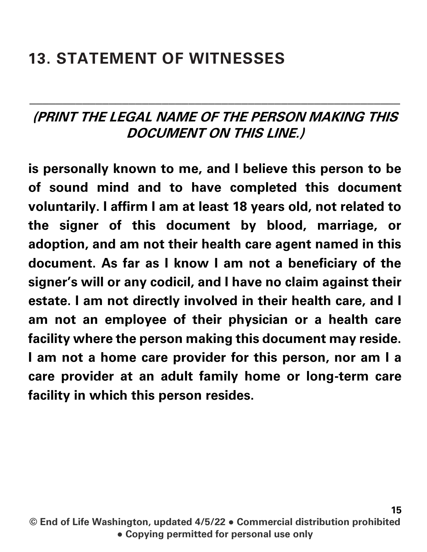#### **13. STATEMENT OF WITNESSES**

#### (**PRINT THE LEGAL NAME OF THE PERSON MAKING THIS DOCUMENT ON THIS LINE.**)

\_\_\_\_\_\_\_\_\_\_\_\_\_\_\_\_\_\_\_\_\_\_\_\_\_\_\_\_\_\_\_\_\_\_\_\_\_\_\_\_\_\_\_\_\_\_\_\_\_\_\_\_\_\_\_\_

is personally known to me, and I believe this person to be of sound mind and to have completed this document voluntarily. I affirm I am at least 18 years old, not related to the signer of this document by blood, marriage, or adoption, and am not their health care agent named in this document. As far as I know I am not a beneficiary of the signer's will or any codicil, and I have no claim against their estate. I am not directly involved in their health care, and I am not an employee of their physician or a health care facility where the person making this document may reside. I am not a home care provider for this person, nor am I a care provider at an adult family home or long-term care facility in which this person resides.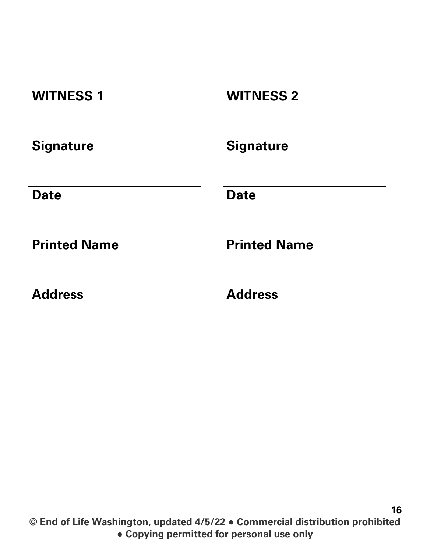| <b>WITNESS 1</b>    | <b>WITNESS 2</b>    |
|---------------------|---------------------|
| <b>Signature</b>    | <b>Signature</b>    |
| <b>Date</b>         | <b>Date</b>         |
| <b>Printed Name</b> | <b>Printed Name</b> |
| <b>Address</b>      | <b>Address</b>      |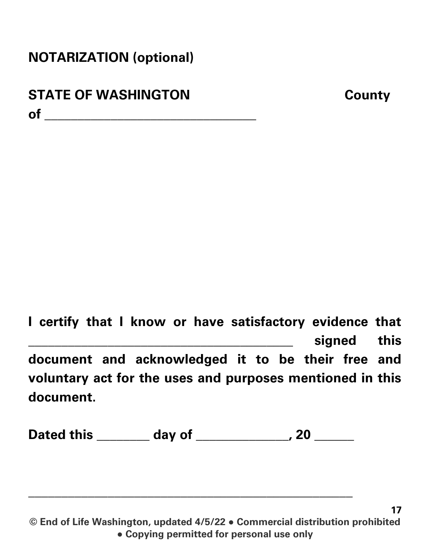#### NOTARIZATION (optional)

#### STATE OF WASHINGTON County of \_\_\_\_\_\_\_\_\_\_\_\_\_\_\_\_\_\_\_\_\_\_\_\_\_\_\_\_\_\_\_\_

I certify that I know or have satisfactory evidence that signed this document and acknowledged it to be their free and voluntary act for the uses and purposes mentioned in this document.

Dated this \_\_\_\_\_\_\_\_ day of \_\_\_\_\_\_\_\_\_\_\_\_, 20 \_\_\_\_\_\_

 $\mathcal{L}_\text{max}$  , and the contract of the contract of the contract of the contract of the contract of the contract of the contract of the contract of the contract of the contract of the contract of the contract of the contr

© End of Life Washington, updated 4/5/22 ● Commercial distribution prohibited ● Copying permitted for personal use only